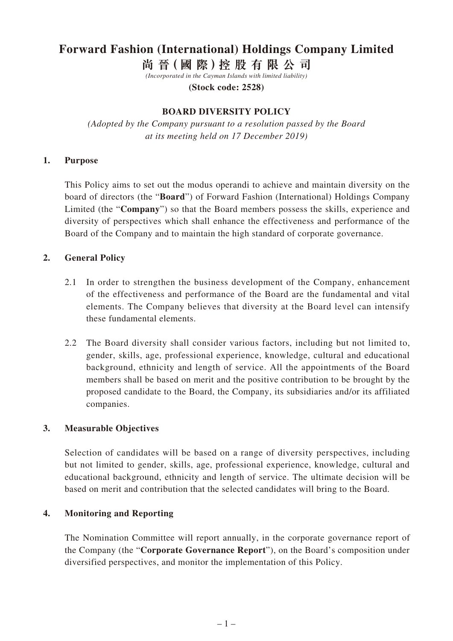# **Forward Fashion (International) Holdings Company Limited**

**尚 晉(國 際)控 股 有 限 公 司**

*(Incorporated in the Cayman Islands with limited liability)*

**(Stock code: 2528)**

#### **BOARD DIVERSITY POLICY**

*(Adopted by the Company pursuant to a resolution passed by the Board at its meeting held on 17 December 2019)*

#### **1. Purpose**

This Policy aims to set out the modus operandi to achieve and maintain diversity on the board of directors (the "**Board**") of Forward Fashion (International) Holdings Company Limited (the "**Company**") so that the Board members possess the skills, experience and diversity of perspectives which shall enhance the effectiveness and performance of the Board of the Company and to maintain the high standard of corporate governance.

### **2. General Policy**

- 2.1 In order to strengthen the business development of the Company, enhancement of the effectiveness and performance of the Board are the fundamental and vital elements. The Company believes that diversity at the Board level can intensify these fundamental elements.
- 2.2 The Board diversity shall consider various factors, including but not limited to, gender, skills, age, professional experience, knowledge, cultural and educational background, ethnicity and length of service. All the appointments of the Board members shall be based on merit and the positive contribution to be brought by the proposed candidate to the Board, the Company, its subsidiaries and/or its affiliated companies.

### **3. Measurable Objectives**

Selection of candidates will be based on a range of diversity perspectives, including but not limited to gender, skills, age, professional experience, knowledge, cultural and educational background, ethnicity and length of service. The ultimate decision will be based on merit and contribution that the selected candidates will bring to the Board.

#### **4. Monitoring and Reporting**

The Nomination Committee will report annually, in the corporate governance report of the Company (the "**Corporate Governance Report**"), on the Board's composition under diversified perspectives, and monitor the implementation of this Policy.